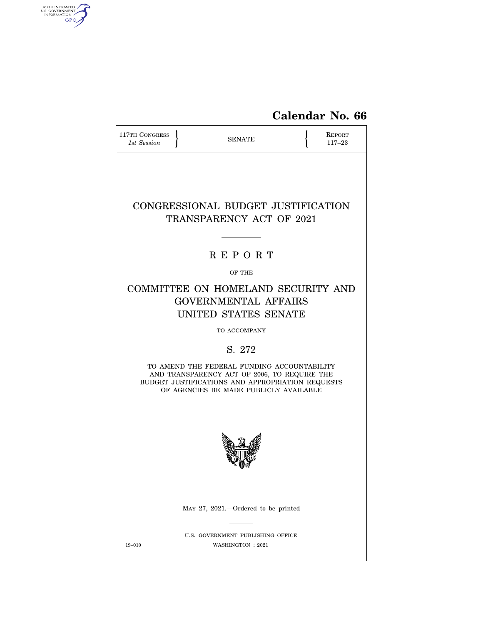

| 117TH CONGRESS<br>1st Session                                                                                                                                                             |  | <b>SENATE</b>                                                                             |  | <b>REPORT</b><br>$117 - 23$ |  |
|-------------------------------------------------------------------------------------------------------------------------------------------------------------------------------------------|--|-------------------------------------------------------------------------------------------|--|-----------------------------|--|
|                                                                                                                                                                                           |  | CONGRESSIONAL BUDGET JUSTIFICATION<br>TRANSPARENCY ACT OF 2021                            |  |                             |  |
|                                                                                                                                                                                           |  | <b>REPORT</b>                                                                             |  |                             |  |
|                                                                                                                                                                                           |  | OF THE                                                                                    |  |                             |  |
|                                                                                                                                                                                           |  | COMMITTEE ON HOMELAND SECURITY AND<br><b>GOVERNMENTAL AFFAIRS</b><br>UNITED STATES SENATE |  |                             |  |
|                                                                                                                                                                                           |  | TO ACCOMPANY                                                                              |  |                             |  |
|                                                                                                                                                                                           |  | S. 272                                                                                    |  |                             |  |
| TO AMEND THE FEDERAL FUNDING ACCOUNTABILITY<br>AND TRANSPARENCY ACT OF 2006, TO REQUIRE THE<br>BUDGET JUSTIFICATIONS AND APPROPRIATION REQUESTS<br>OF AGENCIES BE MADE PUBLICLY AVAILABLE |  |                                                                                           |  |                             |  |
|                                                                                                                                                                                           |  |                                                                                           |  |                             |  |
|                                                                                                                                                                                           |  | MAY 27, 2021.—Ordered to be printed                                                       |  |                             |  |
| $19 - 010$                                                                                                                                                                                |  | U.S. GOVERNMENT PUBLISHING OFFICE<br>WASHINGTON : 2021                                    |  |                             |  |

AUTHENTICATED

 $\widehat{\mathbf{f}}$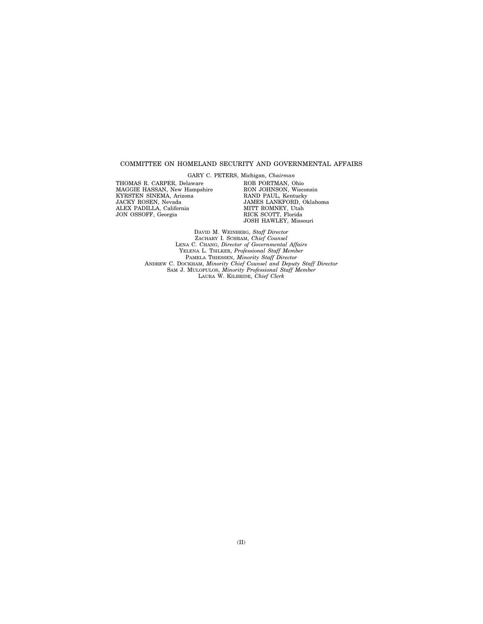#### COMMITTEE ON HOMELAND SECURITY AND GOVERNMENTAL AFFAIRS

THOMAS R. CARPER, Delaware MAGGIE HASSAN, New Hampshire KYRSTEN SINEMA, Arizona JACKY ROSEN, Nevada ALEX PADILLA, California JON OSSOFF, Georgia

GARY C. PETERS, Michigan, *Chairman*  ROB PORTMAN, Ohio RON JOHNSON, Wisconsin RAND PAUL, Kentucky JAMES LANKFORD, Oklahoma MITT ROMNEY, Utah RICK SCOTT, Florida JOSH HAWLEY, Missouri

DAVID M. WEINBERG, *Staff Director*  ZACHARY I. SCHRAM, *Chief Counsel*  LENA C. CHANG, *Director of Governmental Affairs*  YELENA L. TSILKER, *Professional Staff Member*  PAMELA THIESSEN, *Minority Staff Director*  ANDREW C. DOCKHAM, *Minority Chief Counsel and Deputy Staff Director*  SAM J. MULOPULOS, *Minority Professional Staff Member*  LAURA W. KILBRIDE, *Chief Clerk*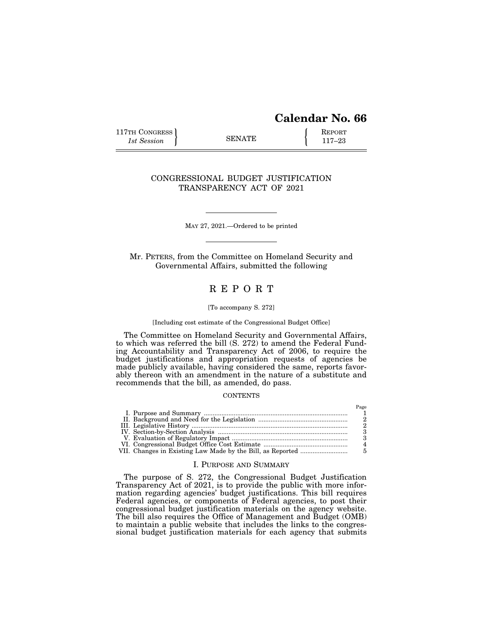# **Calendar No. 66**

 $D_{\alpha\alpha\alpha}$ 

117TH CONGRESS REPORT 115 SENATE **REPORT** 

## CONGRESSIONAL BUDGET JUSTIFICATION TRANSPARENCY ACT OF 2021

MAY 27, 2021.—Ordered to be printed

Mr. PETERS, from the Committee on Homeland Security and Governmental Affairs, submitted the following

# R E P O R T

#### [To accompany S. 272]

#### [Including cost estimate of the Congressional Budget Office]

The Committee on Homeland Security and Governmental Affairs, to which was referred the bill (S. 272) to amend the Federal Funding Accountability and Transparency Act of 2006, to require the budget justifications and appropriation requests of agencies be made publicly available, having considered the same, reports favorably thereon with an amendment in the nature of a substitute and recommends that the bill, as amended, do pass.

#### **CONTENTS**

|  | 1 age |
|--|-------|
|  |       |
|  |       |
|  |       |
|  |       |
|  |       |
|  |       |
|  |       |

#### I. PURPOSE AND SUMMARY

The purpose of S. 272, the Congressional Budget Justification Transparency Act of 2021, is to provide the public with more information regarding agencies' budget justifications. This bill requires Federal agencies, or components of Federal agencies, to post their congressional budget justification materials on the agency website. The bill also requires the Office of Management and Budget (OMB) to maintain a public website that includes the links to the congressional budget justification materials for each agency that submits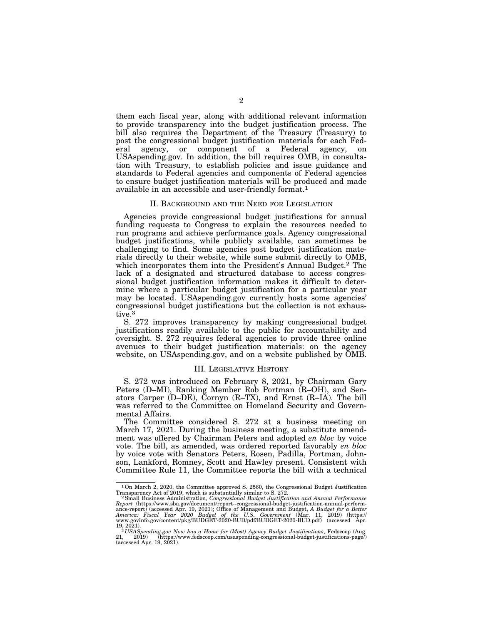them each fiscal year, along with additional relevant information to provide transparency into the budget justification process. The bill also requires the Department of the Treasury (Treasury) to post the congressional budget justification materials for each Federal agency, or component of a Federal agency, on USAspending.gov. In addition, the bill requires OMB, in consultation with Treasury, to establish policies and issue guidance and standards to Federal agencies and components of Federal agencies to ensure budget justification materials will be produced and made available in an accessible and user-friendly format.1

#### II. BACKGROUND AND THE NEED FOR LEGISLATION

Agencies provide congressional budget justifications for annual funding requests to Congress to explain the resources needed to run programs and achieve performance goals. Agency congressional budget justifications, while publicly available, can sometimes be challenging to find. Some agencies post budget justification materials directly to their website, while some submit directly to OMB, which incorporates them into the President's Annual Budget.<sup>2</sup> The lack of a designated and structured database to access congressional budget justification information makes it difficult to determine where a particular budget justification for a particular year may be located. USAspending.gov currently hosts some agencies' congressional budget justifications but the collection is not exhaustive.3

S. 272 improves transparency by making congressional budget justifications readily available to the public for accountability and oversight. S. 272 requires federal agencies to provide three online avenues to their budget justification materials: on the agency website, on USAspending.gov, and on a website published by OMB.

#### III. LEGISLATIVE HISTORY

S. 272 was introduced on February 8, 2021, by Chairman Gary Peters (D–MI), Ranking Member Rob Portman (R–OH), and Senators Carper (D–DE), Cornyn (R–TX), and Ernst (R–IA). The bill was referred to the Committee on Homeland Security and Governmental Affairs.

The Committee considered S. 272 at a business meeting on March 17, 2021. During the business meeting, a substitute amendment was offered by Chairman Peters and adopted *en bloc* by voice vote. The bill, as amended, was ordered reported favorably *en bloc*  by voice vote with Senators Peters, Rosen, Padilla, Portman, Johnson, Lankford, Romney, Scott and Hawley present. Consistent with Committee Rule 11, the Committee reports the bill with a technical

 $1$ On March 2, 2020, the Committee approved S. 2560, the Congressional Budget Justification Transparency Act of 2019, which is substantially similar to S. 272.

<sup>&</sup>lt;sup>2</sup> Small Business Administration, *Congressional Budget Justification and Annual Performance* Report (https://www.sba.gov/document/report--congressional-budget-justification-annual-perform-<br>ance-report) (accessed Apr. 19, 2021); Office of Management and Budget, A Budget for a Better<br>America: Fiscal Year 2020 Budget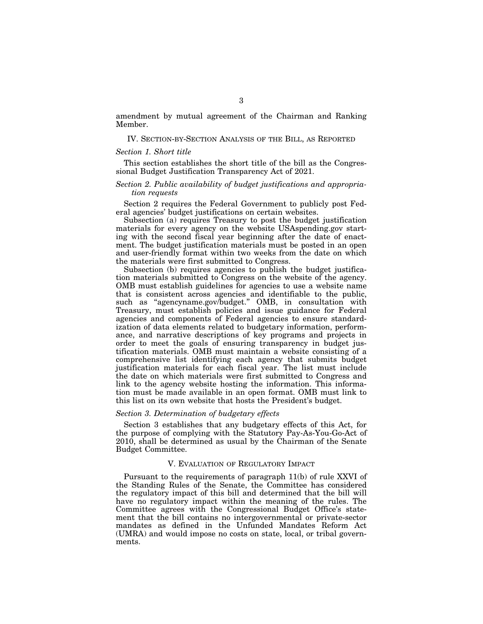amendment by mutual agreement of the Chairman and Ranking Member.

#### IV. SECTION-BY-SECTION ANALYSIS OF THE BILL, AS REPORTED

#### *Section 1. Short title*

This section establishes the short title of the bill as the Congressional Budget Justification Transparency Act of 2021.

#### *Section 2. Public availability of budget justifications and appropriation requests*

Section 2 requires the Federal Government to publicly post Federal agencies' budget justifications on certain websites.

Subsection (a) requires Treasury to post the budget justification materials for every agency on the website USAspending.gov starting with the second fiscal year beginning after the date of enactment. The budget justification materials must be posted in an open and user-friendly format within two weeks from the date on which the materials were first submitted to Congress.

Subsection (b) requires agencies to publish the budget justification materials submitted to Congress on the website of the agency. OMB must establish guidelines for agencies to use a website name that is consistent across agencies and identifiable to the public, such as "agencyname.gov/budget." OMB, in consultation with Treasury, must establish policies and issue guidance for Federal agencies and components of Federal agencies to ensure standardization of data elements related to budgetary information, performance, and narrative descriptions of key programs and projects in order to meet the goals of ensuring transparency in budget justification materials. OMB must maintain a website consisting of a comprehensive list identifying each agency that submits budget justification materials for each fiscal year. The list must include the date on which materials were first submitted to Congress and link to the agency website hosting the information. This information must be made available in an open format. OMB must link to this list on its own website that hosts the President's budget.

#### *Section 3. Determination of budgetary effects*

Section 3 establishes that any budgetary effects of this Act, for the purpose of complying with the Statutory Pay-As-You-Go-Act of 2010, shall be determined as usual by the Chairman of the Senate Budget Committee.

#### V. EVALUATION OF REGULATORY IMPACT

Pursuant to the requirements of paragraph 11(b) of rule XXVI of the Standing Rules of the Senate, the Committee has considered the regulatory impact of this bill and determined that the bill will have no regulatory impact within the meaning of the rules. The Committee agrees with the Congressional Budget Office's statement that the bill contains no intergovernmental or private-sector mandates as defined in the Unfunded Mandates Reform Act (UMRA) and would impose no costs on state, local, or tribal governments.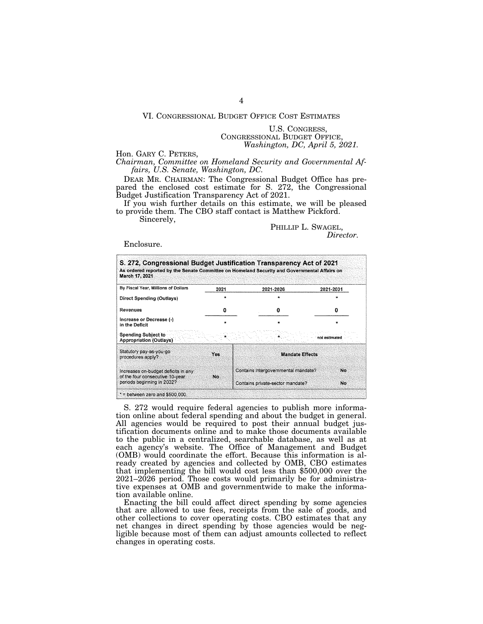#### VI. CONGRESSIONAL BUDGET OFFICE COST ESTIMATES

U.S. CONGRESS, CONGRESSIONAL BUDGET OFFICE, *Washington, DC, April 5, 2021.* 

Hon. GARY C. PETERS,

*Chairman, Committee on Homeland Security and Governmental Affairs, U.S. Senate, Washington, DC.* 

DEAR MR. CHAIRMAN: The Congressional Budget Office has prepared the enclosed cost estimate for S. 272, the Congressional Budget Justification Transparency Act of 2021.

If you wish further details on this estimate, we will be pleased to provide them. The CBO staff contact is Matthew Pickford.

Sincerely,

PHILLIP L. SWAGEL, *Director.* 

Enclosure.

| By Fiscal Year, Millions of Dollars                                                                   | 2021    |                                     |               |
|-------------------------------------------------------------------------------------------------------|---------|-------------------------------------|---------------|
| Direct Spending (Outlays)                                                                             |         | 2021-2026                           | 2021-2031     |
| Revenues                                                                                              | o       | Ω                                   | n             |
| Increase or Decrease (-)<br>in the Deficit                                                            | $\star$ |                                     |               |
| <b>Spending Subject to</b><br><b>Appropriation (Outlays)</b>                                          |         |                                     | not estimated |
| Statutory pay-as-you-go<br>procedures apply?                                                          | Yes     | <b>Mandate Effects</b>              |               |
| Increases on-budget deficits in any<br>of the four consecutive 10-year.<br>periods beginning in 2032? | No      | Contains intergovernmental mandate? | No.<br>No.    |

S. 272 would require federal agencies to publish more information online about federal spending and about the budget in general. All agencies would be required to post their annual budget justification documents online and to make those documents available to the public in a centralized, searchable database, as well as at each agency's website. The Office of Management and Budget (OMB) would coordinate the effort. Because this information is already created by agencies and collected by OMB, CBO estimates that implementing the bill would cost less than \$500,000 over the 2021–2026 period. Those costs would primarily be for administrative expenses at OMB and governmentwide to make the information available online.

Enacting the bill could affect direct spending by some agencies that are allowed to use fees, receipts from the sale of goods, and other collections to cover operating costs. CBO estimates that any net changes in direct spending by those agencies would be negligible because most of them can adjust amounts collected to reflect changes in operating costs.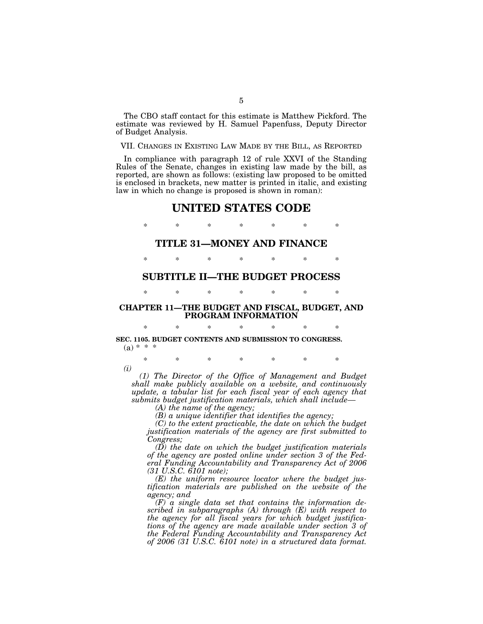The CBO staff contact for this estimate is Matthew Pickford. The estimate was reviewed by H. Samuel Papenfuss, Deputy Director of Budget Analysis.

## VII. CHANGES IN EXISTING LAW MADE BY THE BILL, AS REPORTED

In compliance with paragraph 12 of rule XXVI of the Standing Rules of the Senate, changes in existing law made by the bill, as reported, are shown as follows: (existing law proposed to be omitted is enclosed in brackets, new matter is printed in italic, and existing law in which no change is proposed is shown in roman):

# **UNITED STATES CODE**

\* \* \* \* \* \* \*

### **TITLE 31—MONEY AND FINANCE**

\* \* \* \* \* \* \*

# **SUBTITLE II—THE BUDGET PROCESS**

\* \* \* \* \* \* \*

## **CHAPTER 11—THE BUDGET AND FISCAL, BUDGET, AND PROGRAM INFORMATION**

\* \* \* \* \* \* \*

#### **SEC. 1105. BUDGET CONTENTS AND SUBMISSION TO CONGRESS.**   $(a) * * * *$

\* \* \* \* \* \* \* *(i)* 

*(1) The Director of the Office of Management and Budget shall make publicly available on a website, and continuously update, a tabular list for each fiscal year of each agency that submits budget justification materials, which shall include—* 

*(A) the name of the agency;* 

*(B) a unique identifier that identifies the agency;* 

*(C) to the extent practicable, the date on which the budget justification materials of the agency are first submitted to Congress;* 

*(D) the date on which the budget justification materials of the agency are posted online under section 3 of the Federal Funding Accountability and Transparency Act of 2006 (31 U.S.C. 6101 note);* 

*(E) the uniform resource locator where the budget justification materials are published on the website of the agency; and* 

*(F) a single data set that contains the information described in subparagraphs (A) through (E) with respect to the agency for all fiscal years for which budget justifications of the agency are made available under section 3 of the Federal Funding Accountability and Transparency Act of 2006 (31 U.S.C. 6101 note) in a structured data format.*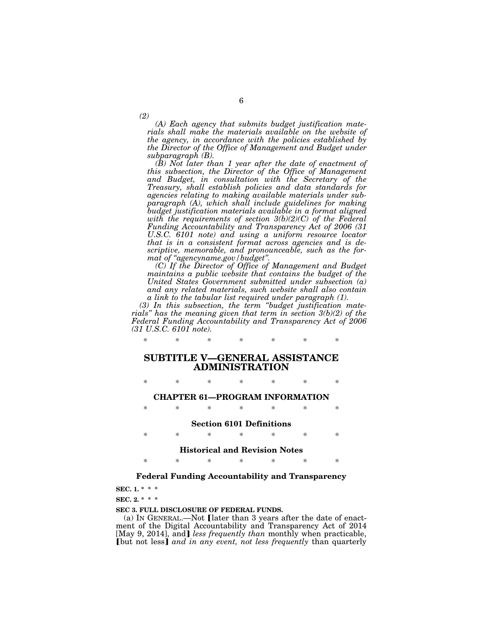*(A) Each agency that submits budget justification materials shall make the materials available on the website of the agency, in accordance with the policies established by the Director of the Office of Management and Budget under subparagraph (B).* 

6

*(B) Not later than 1 year after the date of enactment of this subsection, the Director of the Office of Management and Budget, in consultation with the Secretary of the Treasury, shall establish policies and data standards for agencies relating to making available materials under subparagraph (A), which shall include guidelines for making budget justification materials available in a format aligned with the requirements of section 3(b)(2)(C) of the Federal Funding Accountability and Transparency Act of 2006 (31 U.S.C. 6101 note) and using a uniform resource locator that is in a consistent format across agencies and is descriptive, memorable, and pronounceable, such as the format of ''agencyname.gov/budget''.* 

*(C) If the Director of Office of Management and Budget maintains a public website that contains the budget of the United States Government submitted under subsection (a) and any related materials, such website shall also contain a link to the tabular list required under paragraph (1).* 

*(3) In this subsection, the term ''budget justification materials'' has the meaning given that term in section 3(b)(2) of the Federal Funding Accountability and Transparency Act of 2006 (31 U.S.C. 6101 note).* 

# **SUBTITLE V—GENERAL ASSISTANCE ADMINISTRATION**

*\* \* \* \* \* \* \** 

\* \* \* \* \* \* \*

**CHAPTER 61—PROGRAM INFORMATION** 

\* \* \* \* \* \* \*

#### **Section 6101 Definitions**

\* \* \* \* \* \* \*

## **Historical and Revision Notes**

\* \* \* \* \* \* \*

## **Federal Funding Accountability and Transparency**

**SEC. 1. \* \* \*** 

**SEC. 2. \* \* \*** 

**SEC 3. FULL DISCLOSURE OF FEDERAL FUNDS.** 

(a) IN GENERAL.—Not [later than 3 years after the date of enactment of the Digital Accountability and Transparency Act of 2014 [May 9, 2014], and] *less frequently than* monthly when practicable, **[but not less]** and in any event, not less frequently than quarterly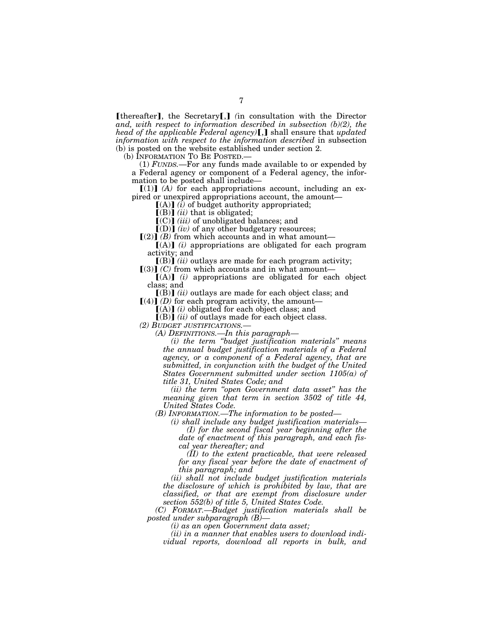**[thereafter]**, the Secretary[,] (in consultation with the Director *and, with respect to information described in subsection (b)(2), the head of the applicable Federal agency*)[,] shall ensure that *updated information with respect to the information described* in subsection (b) is posted on the website established under section 2.

(b) INFORMATION TO BE POSTED.—

(1) *FUNDS.*—For any funds made available to or expended by a Federal agency or component of a Federal agency, the information to be posted shall include—

 $[(1)]$   $(A)$  for each appropriations account, including an expired or unexpired appropriations account, the amount—

 $[(A)]$  *(i)* of budget authority appropriated;

 $[(B)]$   $(ii)$  that is obligated;

[(C)] *(iii)* of unobligated balances; and

 $[$ (D) $]$  (iv) of any other budgetary resources;

 $\lceil (2) \rceil$  *(B)* from which accounts and in what amount—

 $[(A)]$  (i) appropriations are obligated for each program activity; and

 $[(B)]$  *(ii)* outlays are made for each program activity;  $[(3)]$  *(C)* from which accounts and in what amount—

 $[(A)]$   $(i)$  appropriations are obligated for each object class; and

 $\left[\text{(B)}\right]$  *(ii)* outlays are made for each object class; and  $\left[\right(4)\right]$  *(D)* for each program activity, the amount-

 $[(A)]$  *(i)* obligated for each object class; and

 $\lceil (B) \rceil$  *(ii)* of outlays made for each object class.

*(2) BUDGET JUSTIFICATIONS.—* 

*(A) DEFINITIONS.—In this paragraph—* 

*(i) the term ''budget justification materials'' means the annual budget justification materials of a Federal agency, or a component of a Federal agency, that are submitted, in conjunction with the budget of the United States Government submitted under section 1105(a) of title 31, United States Code; and* 

*(ii) the term ''open Government data asset'' has the meaning given that term in section 3502 of title 44, United States Code.* 

*(B) INFORMATION.—The information to be posted—* 

*(i) shall include any budget justification materials— (I) for the second fiscal year beginning after the date of enactment of this paragraph, and each fiscal year thereafter; and* 

*(II) to the extent practicable, that were released for any fiscal year before the date of enactment of this paragraph; and* 

*(ii) shall not include budget justification materials the disclosure of which is prohibited by law, that are classified, or that are exempt from disclosure under section 552(b) of title 5, United States Code.* 

*(C) FORMAT.—Budget justification materials shall be posted under subparagraph (B)—* 

*(i) as an open Government data asset;* 

*(ii) in a manner that enables users to download individual reports, download all reports in bulk, and*